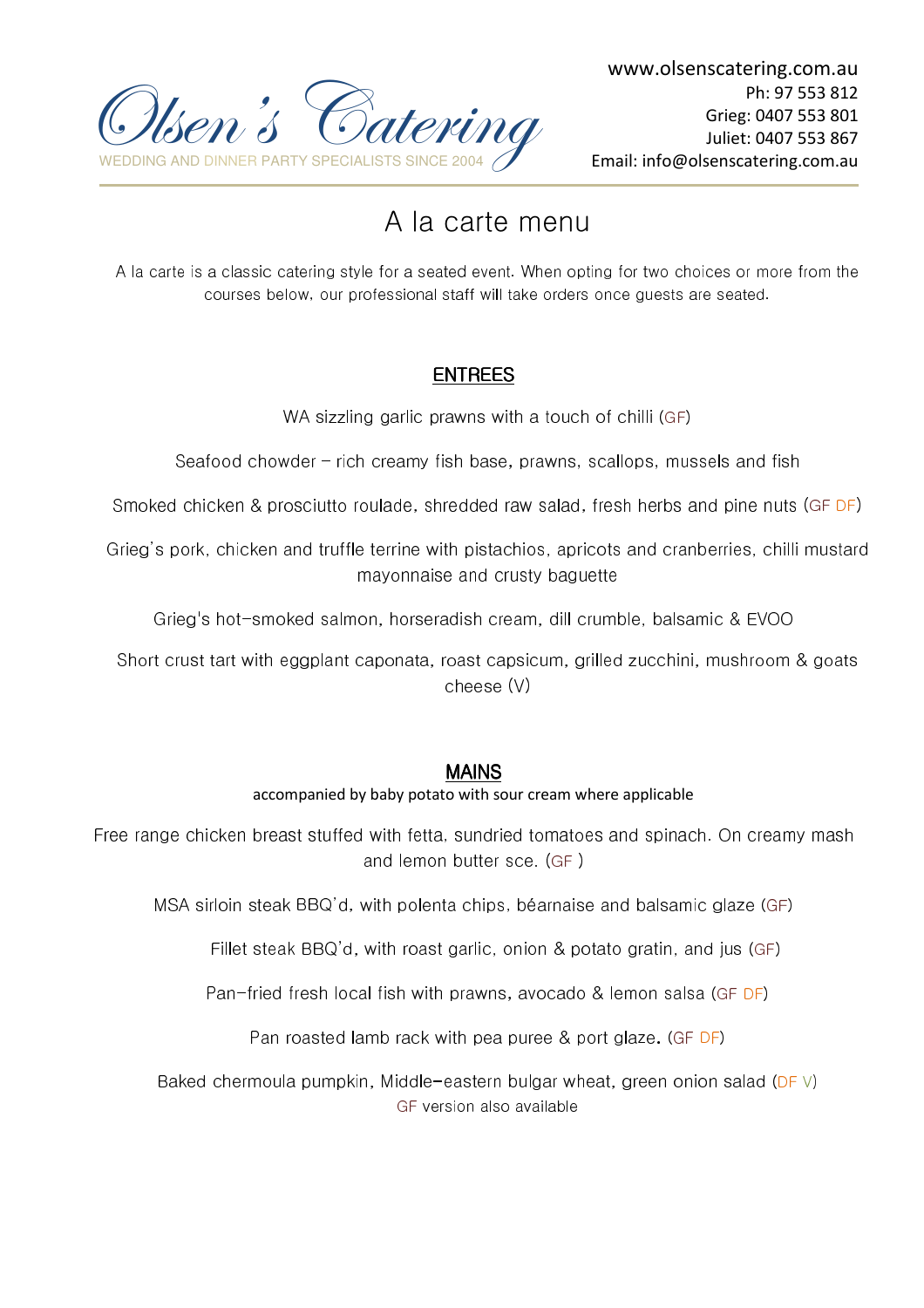

# A la carte menu

A la carte is a classic catering style for a seated event. When opting for two choices or more from the courses below, our professional staff will take orders once guests are seated.

# ENTREES

WA sizzling garlic prawns with a touch of chilli (GF)

Seafood chowder – rich creamy fish base, prawns, scallops, mussels and fish

Smoked chicken & prosciutto roulade, shredded raw salad, fresh herbs and pine nuts (GF DF)

Grieg's pork, chicken and truffle terrine with pistachios, apricots and cranberries, chilli mustard mayonnaise and crusty baguette

Grieg's hot-smoked salmon, horseradish cream, dill crumble, balsamic & EVOO

Short crust tart with eggplant caponata, roast capsicum, grilled zucchini, mushroom & goats cheese (V)

# MAINS

### accompanied by baby potato with sour cream where applicable

Free range chicken breast stuffed with fetta, sundried tomatoes and spinach. On creamy mash and lemon butter sce. (GF )

MSA sirloin steak BBQ'd, with polenta chips, béarnaise and balsamic glaze (GF)

Fillet steak BBQ'd, with roast garlic, onion & potato gratin, and jus (GF)

Pan-fried fresh local fish with prawns, avocado & lemon salsa (GF DF)

Pan roasted lamb rack with pea puree & port glaze. (GF DF)

Baked chermoula pumpkin, Middle-eastern bulgar wheat, green onion salad (DF V) GF version also available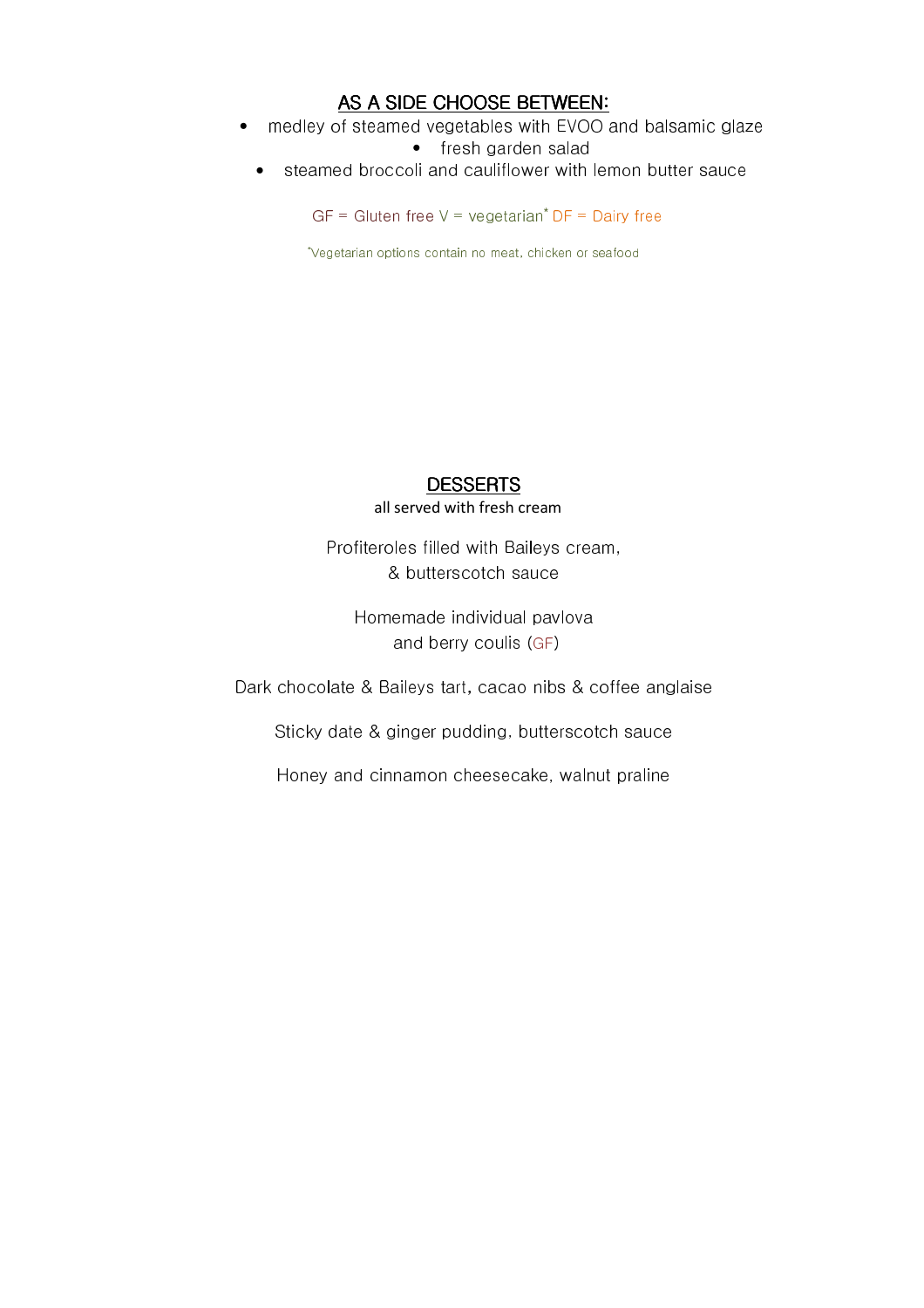# AS A SIDE CHOOSE BETWEEN:

• medley of steamed vegetables with EVOO and balsamic glaze

• fresh garden salad

• steamed broccoli and cauliflower with lemon butter sauce

 $GF = Gluten free V = vegetarian<sup>*</sup> DF = Daily free$ 

\* Vegetarian options contain no meat, chicken or seafood

#### **DESSERTS** all served with fresh cream

Profiteroles filled with Baileys cream, & butterscotch sauce

Homemade individual pavlova and berry coulis (GF)

Dark chocolate & Baileys tart, cacao nibs & coffee anglaise

Sticky date & ginger pudding, butterscotch sauce

Honey and cinnamon cheesecake, walnut praline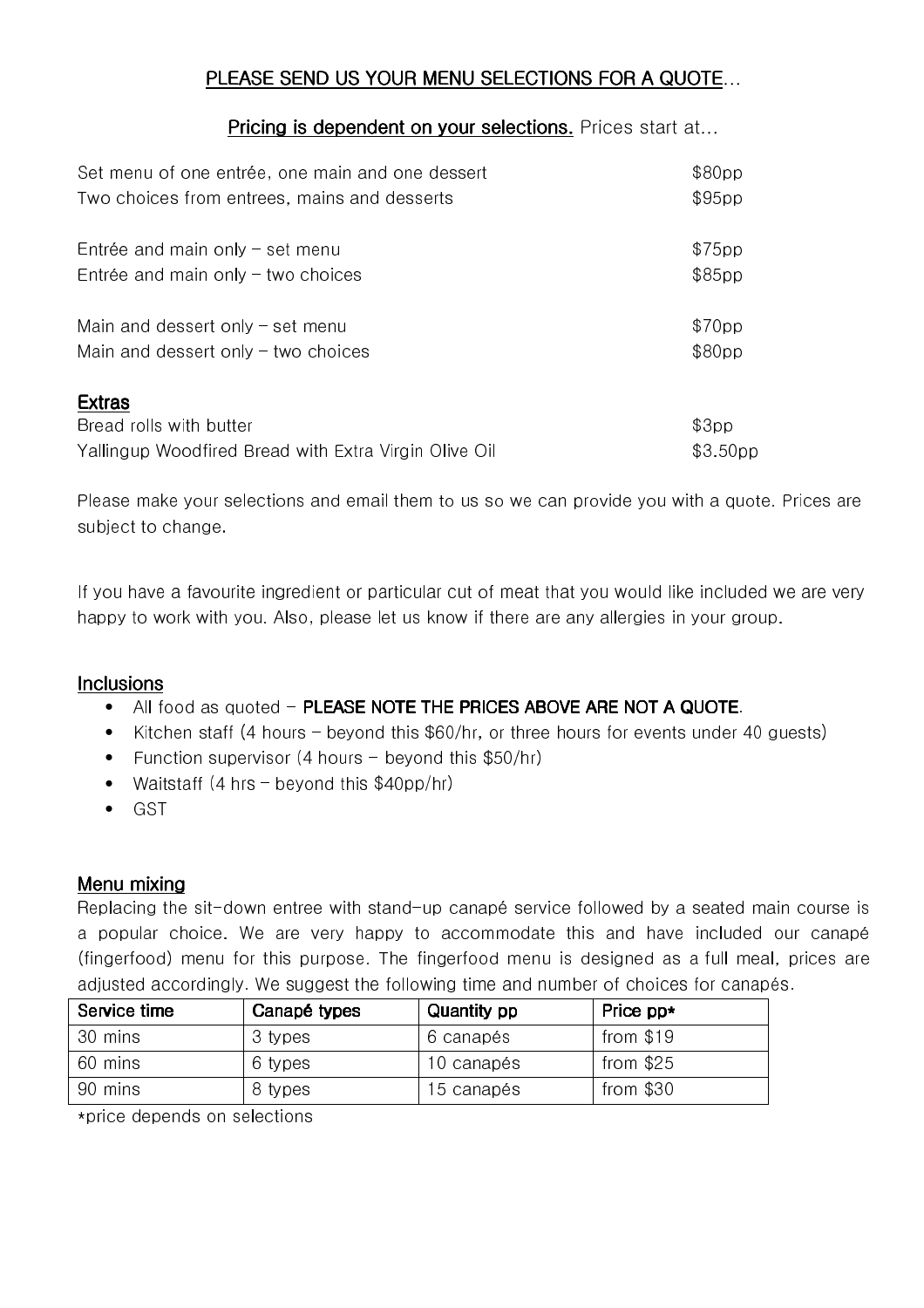# PLEASE SEND US YOUR MENU SELECTIONS FOR A QUOTE...

## Pricing is dependent on your selections. Prices start at...

| Set menu of one entrée, one main and one dessert      | \$80pp               |
|-------------------------------------------------------|----------------------|
| Two choices from entrees, mains and desserts          | \$95pp               |
| Entrée and main only $-$ set menu                     | \$75pp               |
| Entrée and main only $-$ two choices                  | \$85pp               |
| Main and dessert only $-$ set menu                    | \$70pp               |
| Main and dessert only $-$ two choices                 | \$80pp               |
| <b>Extras</b>                                         |                      |
| Bread rolls with butter                               | \$3pp                |
| Yallingup Woodfired Bread with Extra Virgin Olive Oil | \$3.50 <sub>pp</sub> |

Please make your selections and email them to us so we can provide you with a quote. Prices are subject to change.

If you have a favourite ingredient or particular cut of meat that you would like included we are very happy to work with you. Also, please let us know if there are any allergies in your group.

### **Inclusions**

- All food as quoted PLEASE NOTE THE PRICES ABOVE ARE NOT A QUOTE.
- Kitchen staff (4 hours beyond this \$60/hr, or three hours for events under 40 guests)
- Function supervisor (4 hours beyond this \$50/hr)
- Waitstaff (4 hrs beyond this \$40pp/hr)
- GST

### Menu mixing

Replacing the sit-down entree with stand-up canapé service followed by a seated main course is a popular choice. We are very happy to accommodate this and have included our canapé (fingerfood) menu for this purpose. The fingerfood menu is designed as a full meal, prices are adjusted accordingly. We suggest the following time and number of choices for canapés.

| Service time | Canapé types | <b>Quantity pp</b> | Price pp*  |
|--------------|--------------|--------------------|------------|
| 30 mins      | 3 types      | 6 canapés          | from $$19$ |
| 60 mins      | 6 types      | 10 canapés         | from $$25$ |
| 90 mins      | 8 types      | 15 canapés         | from $$30$ |

\*price depends on selections